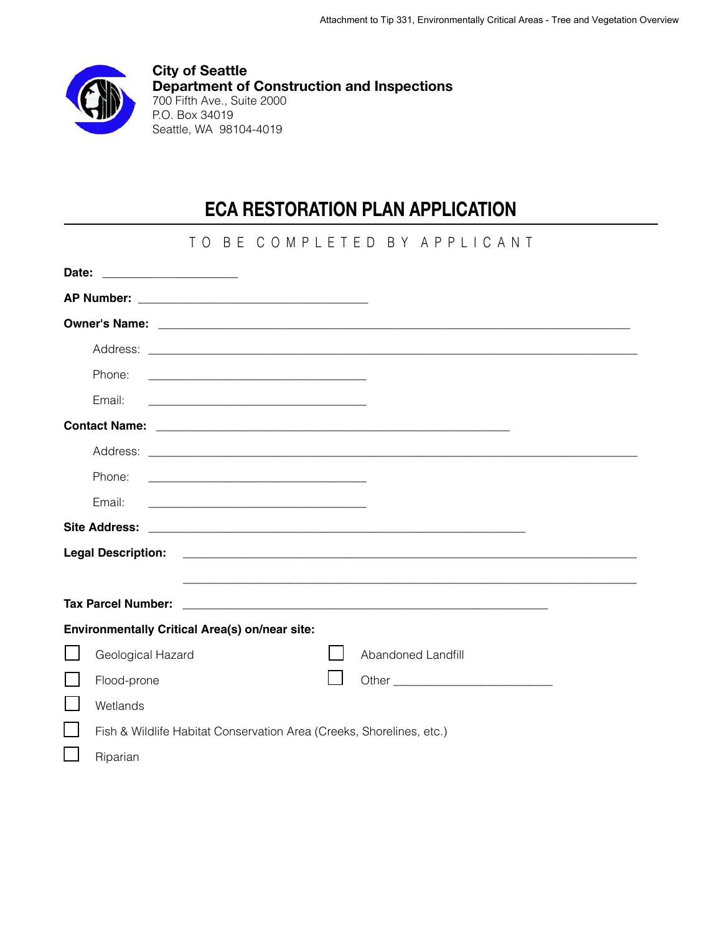

**City of Seattle Department of Construction and Inspections** 700 Fifth Ave., Suite 2000 P.O. Box 34019 Seattle, WA 98104-4019

# **ECA RESTORATION PLAN APPLICATION**

|                                                |                                                                      |  |  |  |                    | TO BE COMPLETED BY APPLICANT |  |  |
|------------------------------------------------|----------------------------------------------------------------------|--|--|--|--------------------|------------------------------|--|--|
|                                                |                                                                      |  |  |  |                    |                              |  |  |
|                                                |                                                                      |  |  |  |                    |                              |  |  |
|                                                |                                                                      |  |  |  |                    |                              |  |  |
|                                                |                                                                      |  |  |  |                    |                              |  |  |
| Phone:                                         |                                                                      |  |  |  |                    |                              |  |  |
| Email:                                         |                                                                      |  |  |  |                    |                              |  |  |
|                                                |                                                                      |  |  |  |                    |                              |  |  |
|                                                |                                                                      |  |  |  |                    |                              |  |  |
| Phone:                                         |                                                                      |  |  |  |                    |                              |  |  |
| Email:                                         |                                                                      |  |  |  |                    |                              |  |  |
|                                                |                                                                      |  |  |  |                    |                              |  |  |
| <b>Legal Description:</b>                      |                                                                      |  |  |  |                    |                              |  |  |
|                                                |                                                                      |  |  |  |                    |                              |  |  |
| <b>Tax Parcel Number:</b>                      |                                                                      |  |  |  |                    |                              |  |  |
| Environmentally Critical Area(s) on/near site: |                                                                      |  |  |  |                    |                              |  |  |
| Geological Hazard                              |                                                                      |  |  |  | Abandoned Landfill |                              |  |  |
| Flood-prone                                    |                                                                      |  |  |  |                    |                              |  |  |
| Wetlands                                       |                                                                      |  |  |  |                    |                              |  |  |
|                                                | Fish & Wildlife Habitat Conservation Area (Creeks, Shorelines, etc.) |  |  |  |                    |                              |  |  |
| Riparian                                       |                                                                      |  |  |  |                    |                              |  |  |
|                                                |                                                                      |  |  |  |                    |                              |  |  |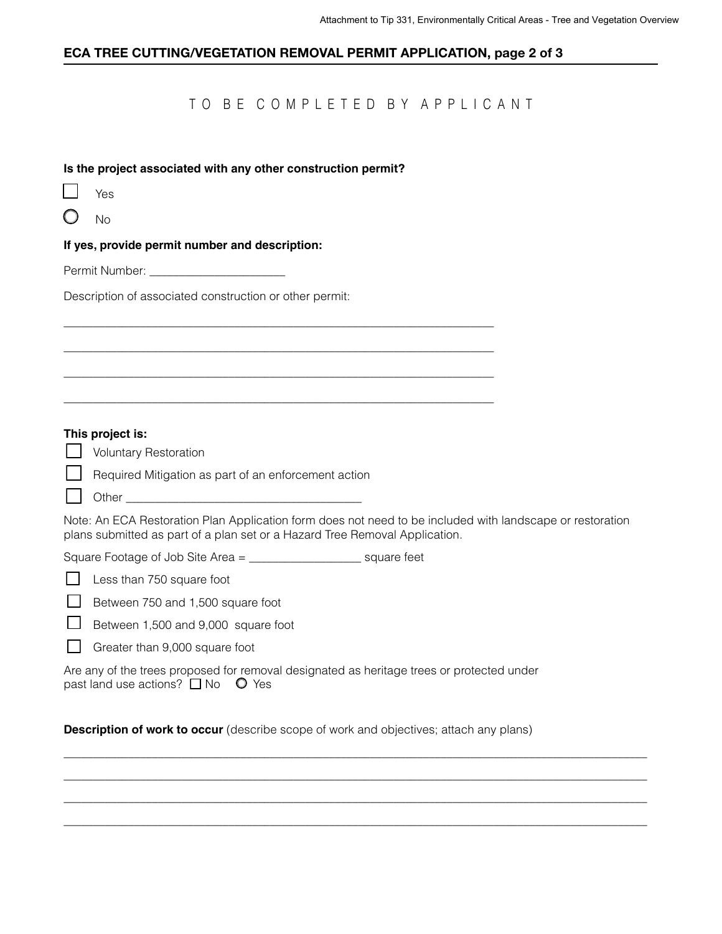### **ECA TREE CUTTING/VEGETATION REMOVAL PERMIT APPLICATION, page 2 of 3**

# TO BE COMPLETED BY APPLICANT

#### **Is the project associated with any other construction permit?**

 $\overline{\phantom{a}}$  , and the contribution of the contribution of the contribution of the contribution of the contribution of the contribution of the contribution of the contribution of the contribution of the contribution of the

 $\overline{\phantom{a}}$  , and the set of the set of the set of the set of the set of the set of the set of the set of the set of the set of the set of the set of the set of the set of the set of the set of the set of the set of the s

 $\overline{\phantom{a}}$  , and the set of the set of the set of the set of the set of the set of the set of the set of the set of the set of the set of the set of the set of the set of the set of the set of the set of the set of the s

 $\overline{\phantom{a}}$  , and the set of the set of the set of the set of the set of the set of the set of the set of the set of the set of the set of the set of the set of the set of the set of the set of the set of the set of the s

| I |
|---|
|---|

 $\bigcap$ No

**If yes, provide permit number and description:** 

Permit Number: \_\_\_\_\_\_\_\_\_\_\_\_\_\_\_\_\_\_\_\_\_\_\_

Description of associated construction or other permit:

#### **This project is:**

**U** Voluntary Restoration

Required Mitigation as part of an enforcement action

#### Other  $\Box$

Note: An ECA Restoration Plan Application form does not need to be included with landscape or restoration plans submitted as part of a plan set or a Hazard Tree Removal Application.

 $\_$  , and the set of the set of the set of the set of the set of the set of the set of the set of the set of the set of the set of the set of the set of the set of the set of the set of the set of the set of the set of th  $\_$  , and the set of the set of the set of the set of the set of the set of the set of the set of the set of the set of the set of the set of the set of the set of the set of the set of the set of the set of the set of th  $\_$  , and the set of the set of the set of the set of the set of the set of the set of the set of the set of the set of the set of the set of the set of the set of the set of the set of the set of the set of the set of th \_\_\_\_\_\_\_\_\_\_\_\_\_\_\_\_\_\_\_\_\_\_\_\_\_\_\_\_\_\_\_\_\_\_\_\_\_\_\_\_\_\_\_\_\_\_\_\_\_\_\_\_\_\_\_\_\_\_\_\_\_\_\_\_\_\_\_\_\_\_\_\_\_\_\_\_\_\_\_\_\_\_\_\_\_\_\_\_\_\_\_\_\_\_\_\_\_\_\_

Square Footage of Job Site Area = \_\_\_\_\_\_\_\_\_\_\_\_\_\_\_\_\_\_\_ square feet

 $\Box$  Between 750 and 1,500 square foot

 $\Box$  Between 1,500 and 9,000 square foot

Greater than  $9,000$  square foot

Are any of the trees proposed for removal designated as heritage trees or protected under past land use actions?  $\Box$  No  $\degree$  Yes

**Description of work to occur** (describe scope of work and objectives; attach any plans)